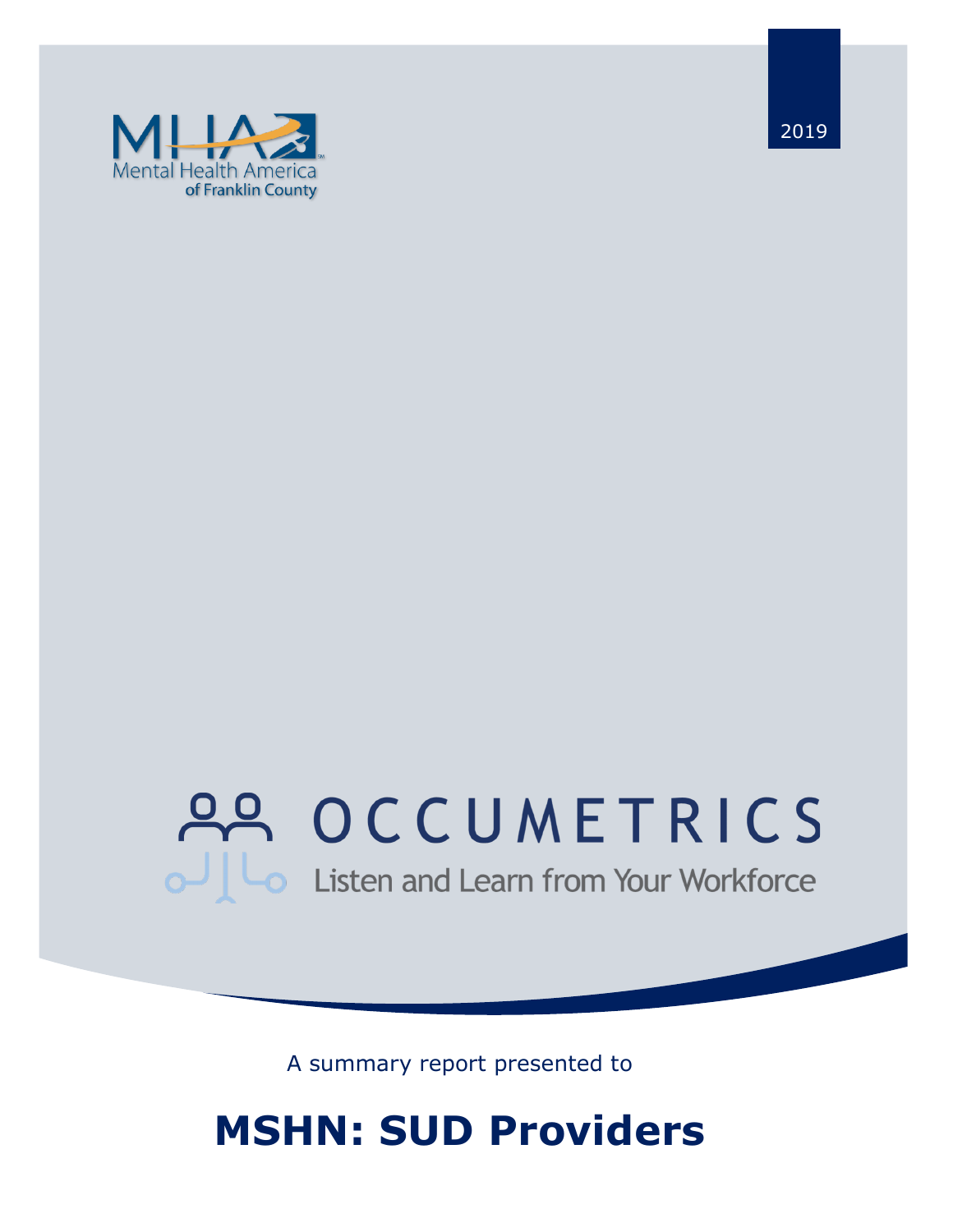

2019

# 22 OCCUMETRICS Listen and Learn from Your Workforce

A summary report presented to

## **MSHN: SUD Providers**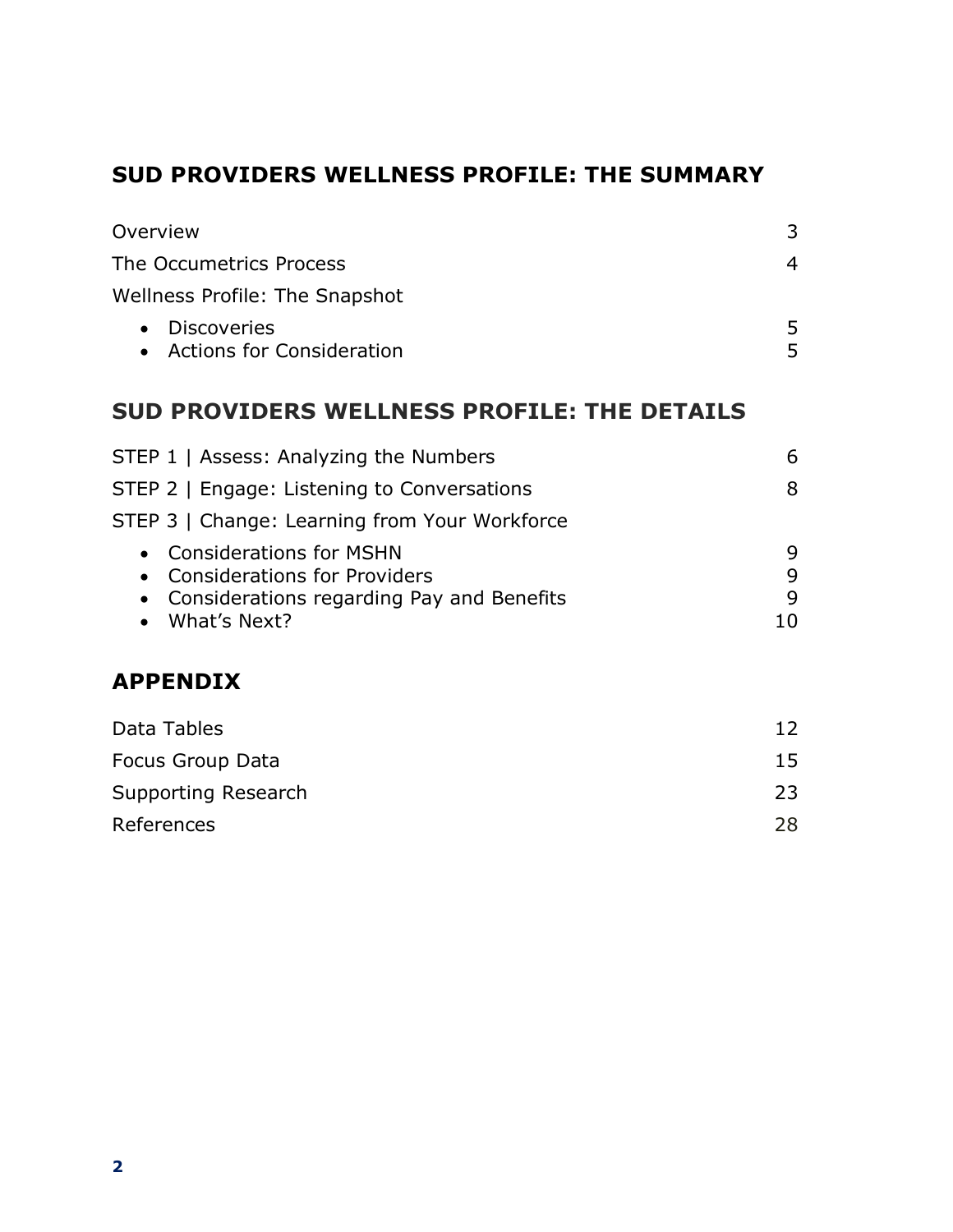## **SUD PROVIDERS WELLNESS PROFILE: THE SUMMARY**

| Overview                                                                                      | 3              |
|-----------------------------------------------------------------------------------------------|----------------|
| The Occumetrics Process                                                                       | $\overline{4}$ |
| <b>Wellness Profile: The Snapshot</b>                                                         |                |
| <b>Discoveries</b><br>$\bullet$<br>• Actions for Consideration                                | 5<br>5         |
| <b>SUD PROVIDERS WELLNESS PROFILE: THE DETAILS</b>                                            |                |
| STEP 1   Assess: Analyzing the Numbers                                                        | 6              |
| STEP 2   Engage: Listening to Conversations                                                   | 8              |
| STEP 3   Change: Learning from Your Workforce                                                 |                |
| <b>Considerations for MSHN</b><br>$\bullet$                                                   | 9              |
| <b>Considerations for Providers</b><br>$\bullet$<br>Considerations regarding Pay and Benefits | 9<br>9         |
| What's Next?                                                                                  | 10             |
| <b>APPENDIX</b>                                                                               |                |
| Data Tables                                                                                   | 12             |
| Focus Group Data                                                                              | 15             |
| Supporting Research                                                                           | 23             |

| References | 28 |
|------------|----|
|            |    |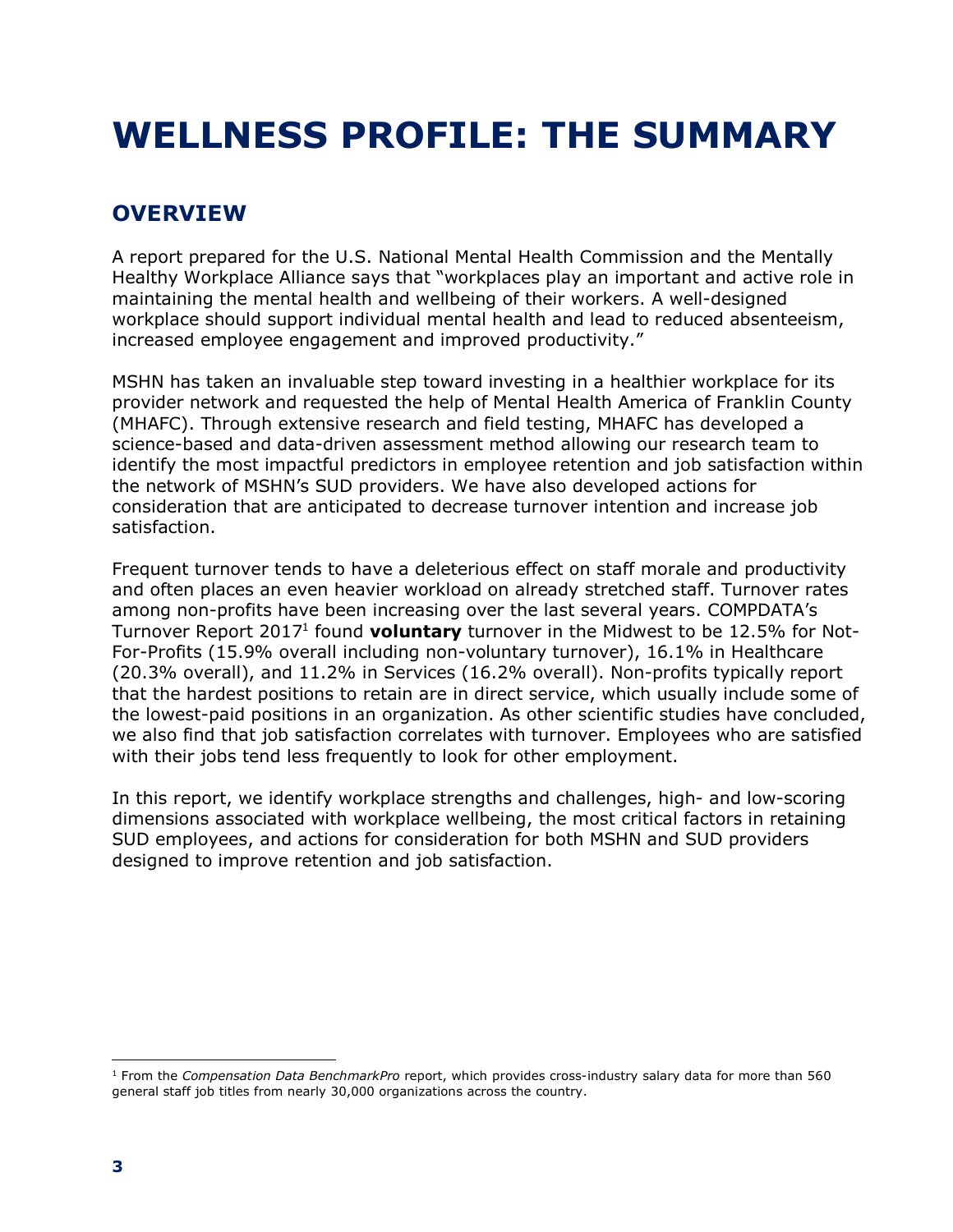## **WELLNESS PROFILE: THE SUMMARY**

## **OVERVIEW**

A report prepared for the U.S. National Mental Health Commission and the Mentally Healthy Workplace Alliance says that "workplaces play an important and active role in maintaining the mental health and wellbeing of their workers. A well-designed workplace should support individual mental health and lead to reduced absenteeism, increased employee engagement and improved productivity."

MSHN has taken an invaluable step toward investing in a healthier workplace for its provider network and requested the help of Mental Health America of Franklin County (MHAFC). Through extensive research and field testing, MHAFC has developed a science-based and data-driven assessment method allowing our research team to identify the most impactful predictors in employee retention and job satisfaction within the network of MSHN's SUD providers. We have also developed actions for consideration that are anticipated to decrease turnover intention and increase job satisfaction.

Frequent turnover tends to have a deleterious effect on staff morale and productivity and often places an even heavier workload on already stretched staff. Turnover rates among non-profits have been increasing over the last several years. COMPDATA's Turnover Report 20171 found **voluntary** turnover in the Midwest to be 12.5% for Not-For-Profits (15.9% overall including non-voluntary turnover), 16.1% in Healthcare (20.3% overall), and 11.2% in Services (16.2% overall). Non-profits typically report that the hardest positions to retain are in direct service, which usually include some of the lowest-paid positions in an organization. As other scientific studies have concluded, we also find that job satisfaction correlates with turnover. Employees who are satisfied with their jobs tend less frequently to look for other employment.

In this report, we identify workplace strengths and challenges, high- and low-scoring dimensions associated with workplace wellbeing, the most critical factors in retaining SUD employees, and actions for consideration for both MSHN and SUD providers designed to improve retention and job satisfaction.

 $\overline{a}$ <sup>1</sup> From the *Compensation Data BenchmarkPro* report, which provides cross-industry salary data for more than 560 general staff job titles from nearly 30,000 organizations across the country.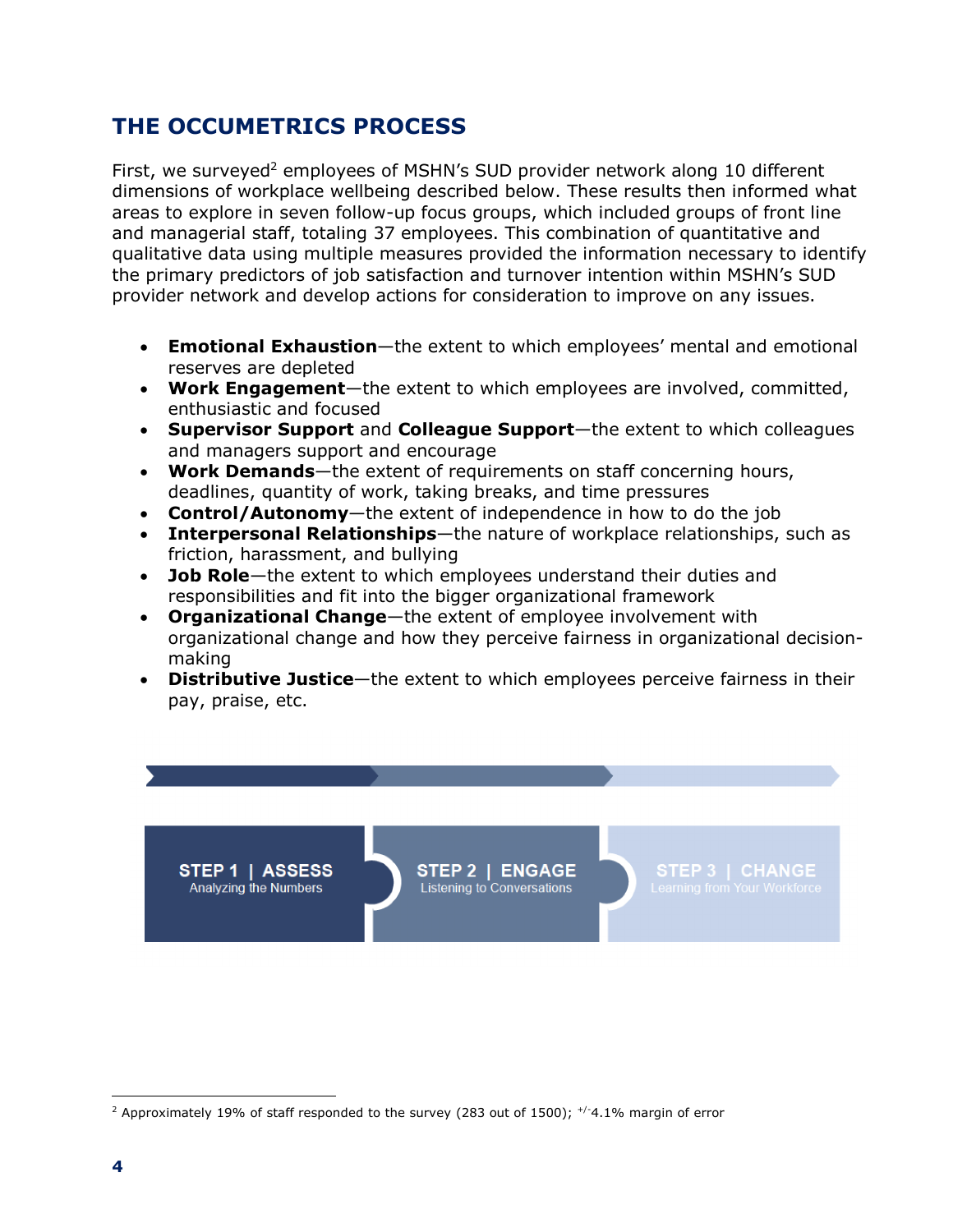### **THE OCCUMETRICS PROCESS**

STEP 1 | ASSESS

Analyzing the Numbers

First, we surveyed<sup>2</sup> employees of MSHN's SUD provider network along 10 different dimensions of workplace wellbeing described below. These results then informed what areas to explore in seven follow-up focus groups, which included groups of front line and managerial staff, totaling 37 employees. This combination of quantitative and qualitative data using multiple measures provided the information necessary to identify the primary predictors of job satisfaction and turnover intention within MSHN's SUD provider network and develop actions for consideration to improve on any issues.

- **Emotional Exhaustion**—the extent to which employees' mental and emotional reserves are depleted
- **Work Engagement**—the extent to which employees are involved, committed, enthusiastic and focused
- **Supervisor Support** and **Colleague Support**—the extent to which colleagues and managers support and encourage
- **Work Demands**—the extent of requirements on staff concerning hours, deadlines, quantity of work, taking breaks, and time pressures
- **Control/Autonomy**—the extent of independence in how to do the job
- **Interpersonal Relationships**—the nature of workplace relationships, such as friction, harassment, and bullying
- **Job Role**—the extent to which employees understand their duties and responsibilities and fit into the bigger organizational framework
- **Organizational Change**—the extent of employee involvement with organizational change and how they perceive fairness in organizational decisionmaking
- **Distributive Justice**—the extent to which employees perceive fairness in their pay, praise, etc.

STEP 2 | ENGAGE Listening to Conversations

 $\overline{a}$ 

<sup>&</sup>lt;sup>2</sup> Approximately 19% of staff responded to the survey (283 out of 1500);  $^{+/4}$ .1% margin of error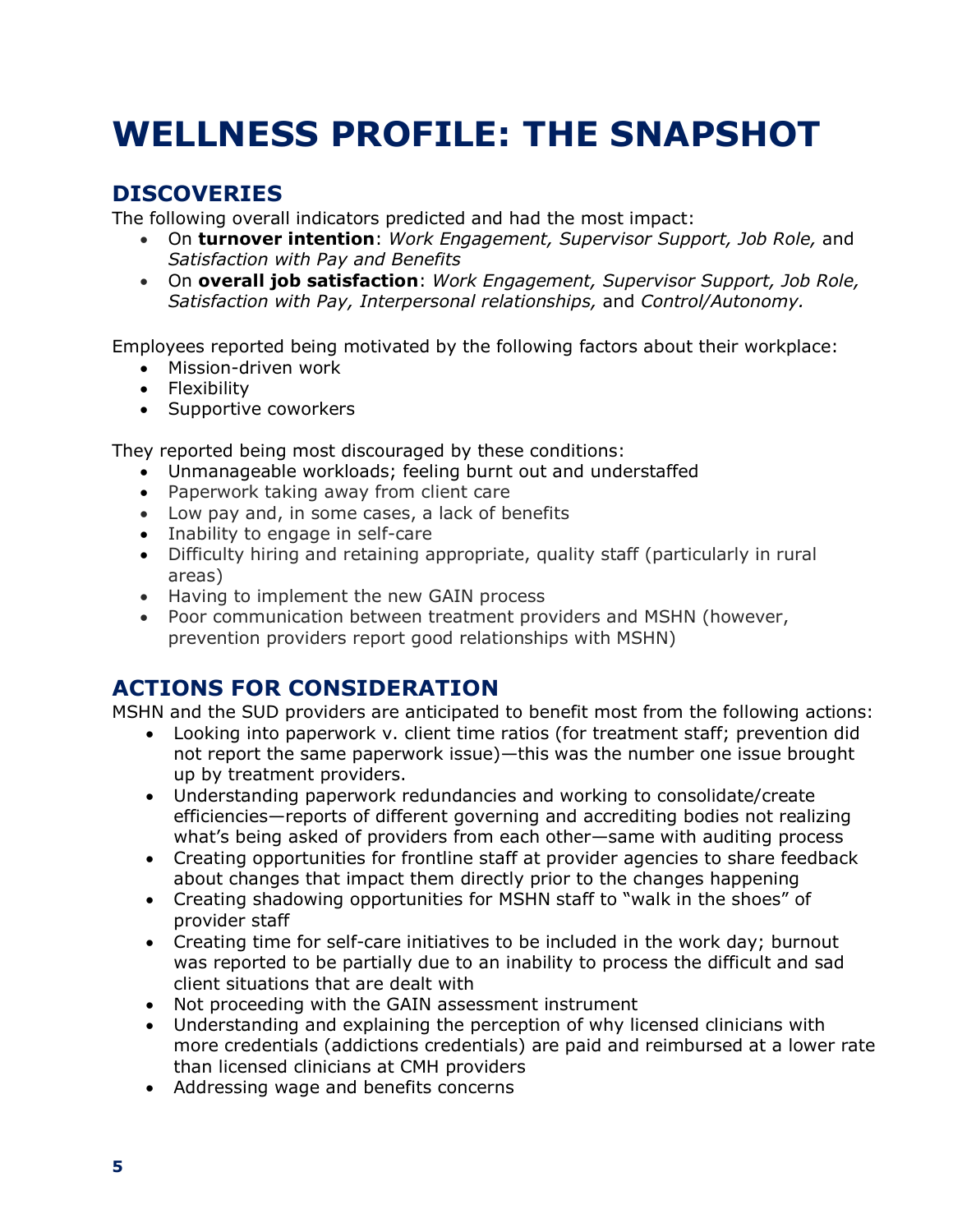## **WELLNESS PROFILE: THE SNAPSHOT**

## **DISCOVERIES**

The following overall indicators predicted and had the most impact:

- On **turnover intention**: *Work Engagement, Supervisor Support, Job Role,* and *Satisfaction with Pay and Benefits*
- On **overall job satisfaction**: *Work Engagement, Supervisor Support, Job Role, Satisfaction with Pay, Interpersonal relationships,* and *Control/Autonomy.*

Employees reported being motivated by the following factors about their workplace:

- Mission-driven work
- Flexibility
- Supportive coworkers

They reported being most discouraged by these conditions:

- Unmanageable workloads; feeling burnt out and understaffed
- Paperwork taking away from client care
- Low pay and, in some cases, a lack of benefits
- Inability to engage in self-care
- Difficulty hiring and retaining appropriate, quality staff (particularly in rural areas)
- Having to implement the new GAIN process
- Poor communication between treatment providers and MSHN (however, prevention providers report good relationships with MSHN)

### **ACTIONS FOR CONSIDERATION**

MSHN and the SUD providers are anticipated to benefit most from the following actions:

- Looking into paperwork v. client time ratios (for treatment staff; prevention did not report the same paperwork issue)—this was the number one issue brought up by treatment providers.
- Understanding paperwork redundancies and working to consolidate/create efficiencies—reports of different governing and accrediting bodies not realizing what's being asked of providers from each other—same with auditing process
- Creating opportunities for frontline staff at provider agencies to share feedback about changes that impact them directly prior to the changes happening
- Creating shadowing opportunities for MSHN staff to "walk in the shoes" of provider staff
- Creating time for self-care initiatives to be included in the work day; burnout was reported to be partially due to an inability to process the difficult and sad client situations that are dealt with
- Not proceeding with the GAIN assessment instrument
- Understanding and explaining the perception of why licensed clinicians with more credentials (addictions credentials) are paid and reimbursed at a lower rate than licensed clinicians at CMH providers
- Addressing wage and benefits concerns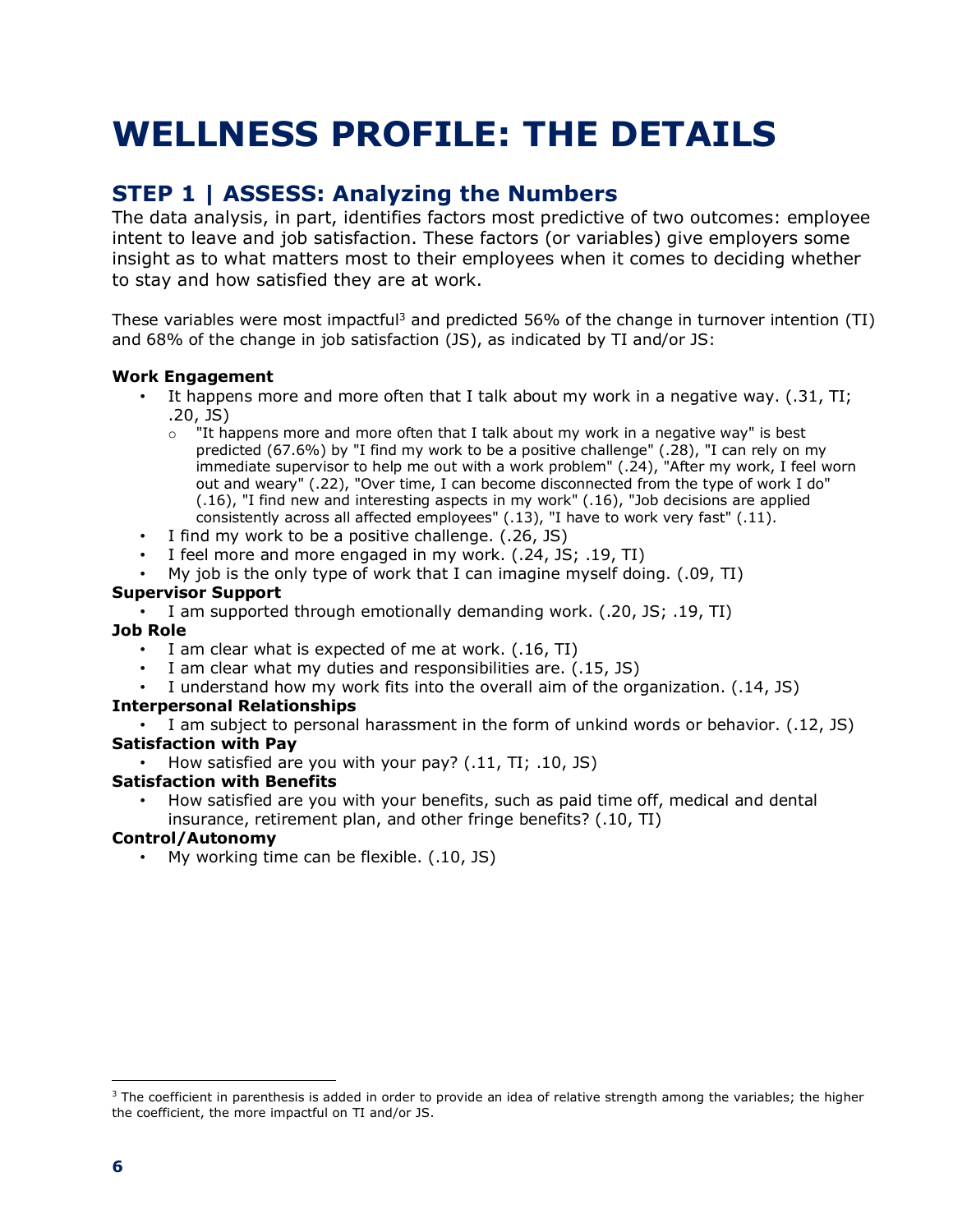## **WELLNESS PROFILE: THE DETAILS**

### **STEP 1 | ASSESS: Analyzing the Numbers**

The data analysis, in part, identifies factors most predictive of two outcomes: employee intent to leave and job satisfaction. These factors (or variables) give employers some insight as to what matters most to their employees when it comes to deciding whether to stay and how satisfied they are at work.

These variables were most impactful<sup>3</sup> and predicted 56% of the change in turnover intention (TI) and 68% of the change in job satisfaction (JS), as indicated by TI and/or JS:

#### **Work Engagement**

- It happens more and more often that I talk about my work in a negative way. (.31, TI; .20, JS)
	- $\circ$  "It happens more and more often that I talk about my work in a negative way" is best predicted (67.6%) by "I find my work to be a positive challenge" (.28), "I can rely on my immediate supervisor to help me out with a work problem" (.24), "After my work, I feel worn out and weary" (.22), "Over time, I can become disconnected from the type of work I do" (.16), "I find new and interesting aspects in my work" (.16), "Job decisions are applied consistently across all affected employees" (.13), "I have to work very fast" (.11).
- I find my work to be a positive challenge. (.26, JS)
- I feel more and more engaged in my work. (.24, JS; .19, TI)
- My job is the only type of work that I can imagine myself doing. (.09, TI)

#### **Supervisor Support**

• I am supported through emotionally demanding work. (.20, JS; .19, TI)

#### **Job Role**

- I am clear what is expected of me at work. (.16, TI)
- I am clear what my duties and responsibilities are.  $(.15, 3S)$
- I understand how my work fits into the overall aim of the organization. (.14, JS)

#### **Interpersonal Relationships**

I am subject to personal harassment in the form of unkind words or behavior. (.12, JS) **Satisfaction with Pay**

• How satisfied are you with your pay? (.11, TI; .10, JS)

#### **Satisfaction with Benefits**

• How satisfied are you with your benefits, such as paid time off, medical and dental insurance, retirement plan, and other fringe benefits? (.10, TI)

#### **Control/Autonomy**

• My working time can be flexible. (.10, JS)

 $\overline{a}$ 

<sup>&</sup>lt;sup>3</sup> The coefficient in parenthesis is added in order to provide an idea of relative strength among the variables; the higher the coefficient, the more impactful on TI and/or JS.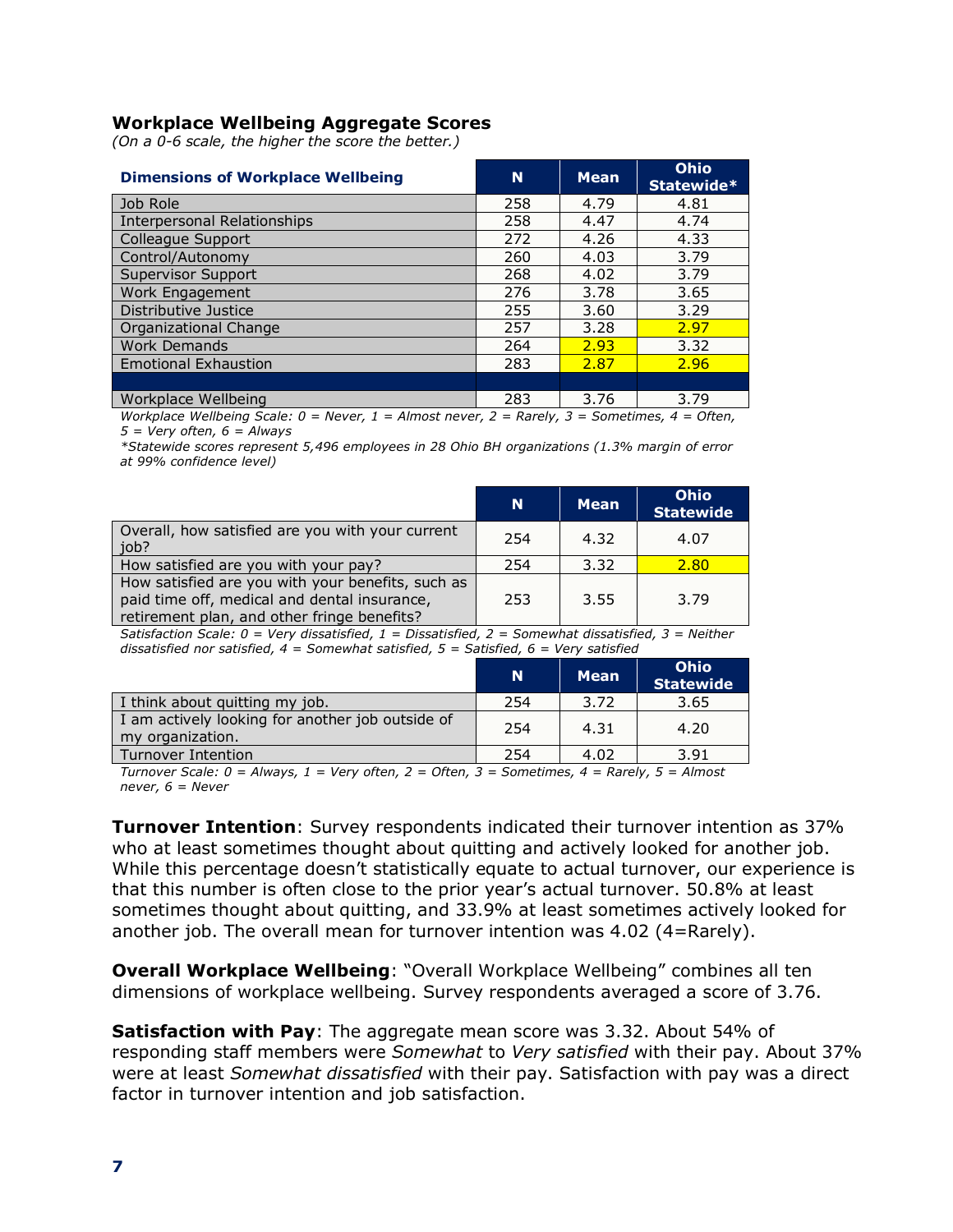#### **Workplace Wellbeing Aggregate Scores**

*(On a 0-6 scale, the higher the score the better.)*

| <b>Dimensions of Workplace Wellbeing</b> | N   | <b>Mean</b> | <b>Ohio</b><br>Statewide* |
|------------------------------------------|-----|-------------|---------------------------|
| Job Role                                 | 258 | 4.79        | 4.81                      |
| Interpersonal Relationships              | 258 | 4.47        | 4.74                      |
| Colleague Support                        | 272 | 4.26        | 4.33                      |
| Control/Autonomy                         | 260 | 4.03        | 3.79                      |
| <b>Supervisor Support</b>                | 268 | 4.02        | 3.79                      |
| Work Engagement                          | 276 | 3.78        | 3.65                      |
| Distributive Justice                     | 255 | 3.60        | 3.29                      |
| Organizational Change                    | 257 | 3.28        | 2.97                      |
| <b>Work Demands</b>                      | 264 | 7.93        | 3.32                      |
| <b>Emotional Exhaustion</b>              | 283 | 2.87        | 2.96                      |
|                                          |     |             |                           |
| Workplace Wellbeing                      | 283 | 3.76        | 3.79                      |

*Workplace Wellbeing Scale: 0 = Never, 1 = Almost never, 2 = Rarely, 3 = Sometimes, 4 = Often, 5 = Very often, 6 = Always*

*\*Statewide scores represent 5,496 employees in 28 Ohio BH organizations (1.3% margin of error at 99% confidence level)*

|                                                                                                                                                  | 'N. | <b>Mean</b> | <b>Ohio</b><br><b>Statewide</b> |
|--------------------------------------------------------------------------------------------------------------------------------------------------|-----|-------------|---------------------------------|
| Overall, how satisfied are you with your current<br>job?                                                                                         | 254 | 4.32        | 4.07                            |
| How satisfied are you with your pay?                                                                                                             | 254 | 3.32        | 2.80                            |
| How satisfied are you with your benefits, such as<br>paid time off, medical and dental insurance,<br>retirement plan, and other fringe benefits? | 253 | 3.55        | 3.79                            |

*Satisfaction Scale: 0 = Very dissatisfied, 1 = Dissatisfied, 2 = Somewhat dissatisfied, 3 = Neither dissatisfied nor satisfied, 4 = Somewhat satisfied, 5 = Satisfied, 6 = Very satisfied*

|                                                                      | N   | <b>Mean</b> | Ohio<br><b>Statewide</b> |
|----------------------------------------------------------------------|-----|-------------|--------------------------|
| I think about quitting my job.                                       | 254 | 3.72        | 3.65                     |
| I am actively looking for another job outside of<br>my organization. | 254 | 4.31        | 4.20                     |
| Turnover Intention                                                   | 254 | 4.02        | 3.91                     |

*Turnover Scale: 0 = Always, 1 = Very often, 2 = Often, 3 = Sometimes, 4 = Rarely, 5 = Almost never, 6 = Never*

**Turnover Intention**: Survey respondents indicated their turnover intention as 37% who at least sometimes thought about quitting and actively looked for another job. While this percentage doesn't statistically equate to actual turnover, our experience is that this number is often close to the prior year's actual turnover. 50.8% at least sometimes thought about quitting, and 33.9% at least sometimes actively looked for another job. The overall mean for turnover intention was 4.02 (4=Rarely).

**Overall Workplace Wellbeing**: "Overall Workplace Wellbeing" combines all ten dimensions of workplace wellbeing. Survey respondents averaged a score of 3.76.

**Satisfaction with Pay**: The aggregate mean score was 3.32. About 54% of responding staff members were *Somewhat* to *Very satisfied* with their pay. About 37% were at least *Somewhat dissatisfied* with their pay. Satisfaction with pay was a direct factor in turnover intention and job satisfaction.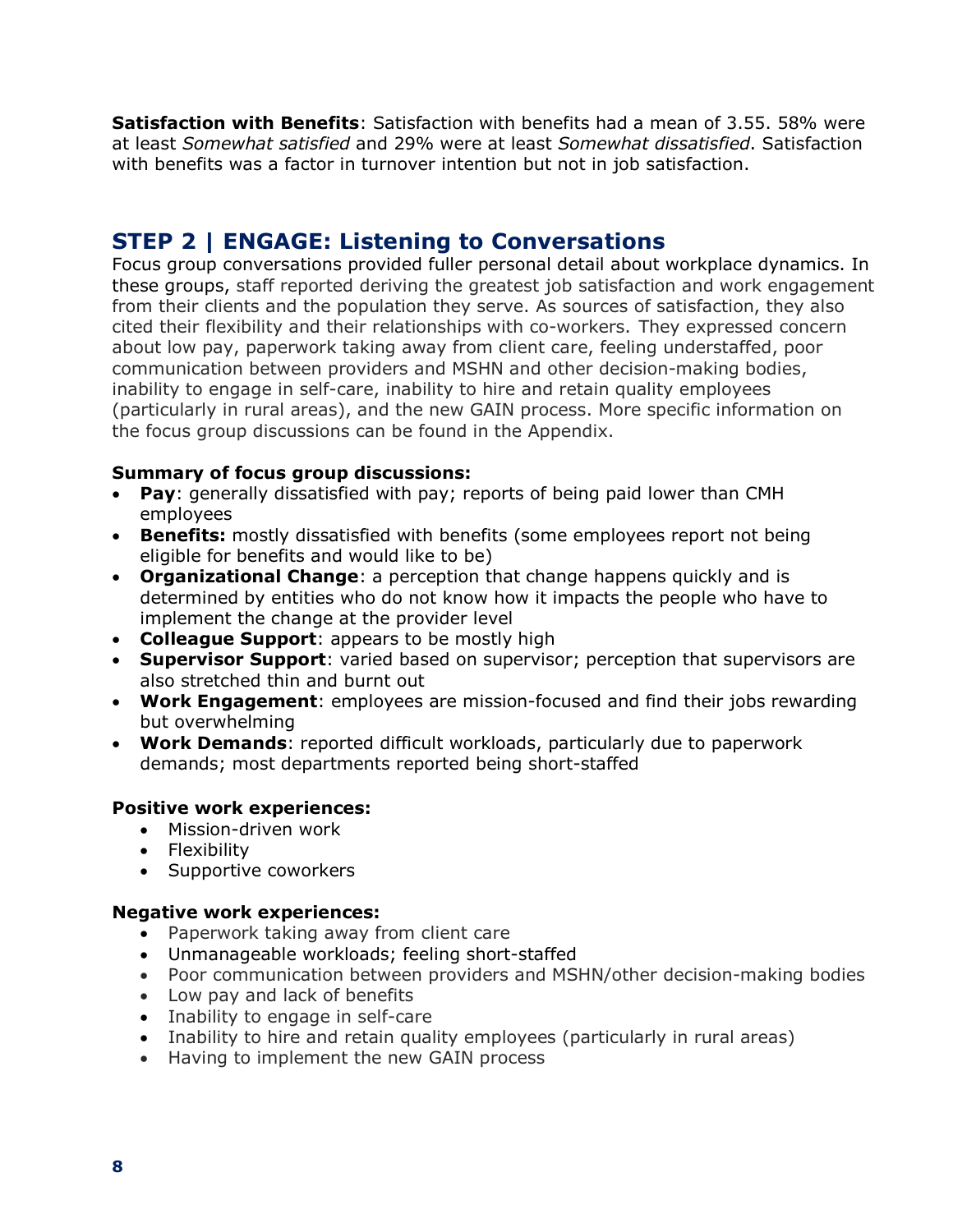**Satisfaction with Benefits**: Satisfaction with benefits had a mean of 3.55. 58% were at least *Somewhat satisfied* and 29% were at least *Somewhat dissatisfied*. Satisfaction with benefits was a factor in turnover intention but not in job satisfaction.

### **STEP 2 | ENGAGE: Listening to Conversations**

Focus group conversations provided fuller personal detail about workplace dynamics. In these groups, staff reported deriving the greatest job satisfaction and work engagement from their clients and the population they serve. As sources of satisfaction, they also cited their flexibility and their relationships with co-workers. They expressed concern about low pay, paperwork taking away from client care, feeling understaffed, poor communication between providers and MSHN and other decision-making bodies, inability to engage in self-care, inability to hire and retain quality employees (particularly in rural areas), and the new GAIN process. More specific information on the focus group discussions can be found in the Appendix.

#### **Summary of focus group discussions:**

- **Pay**: generally dissatisfied with pay; reports of being paid lower than CMH employees
- **Benefits:** mostly dissatisfied with benefits (some employees report not being eligible for benefits and would like to be)
- **Organizational Change**: a perception that change happens quickly and is determined by entities who do not know how it impacts the people who have to implement the change at the provider level
- **Colleague Support**: appears to be mostly high
- **Supervisor Support**: varied based on supervisor; perception that supervisors are also stretched thin and burnt out
- **Work Engagement**: employees are mission-focused and find their jobs rewarding but overwhelming
- **Work Demands**: reported difficult workloads, particularly due to paperwork demands; most departments reported being short-staffed

#### **Positive work experiences:**

- Mission-driven work
- Flexibility
- Supportive coworkers

#### **Negative work experiences:**

- Paperwork taking away from client care
- Unmanageable workloads; feeling short-staffed
- Poor communication between providers and MSHN/other decision-making bodies
- Low pay and lack of benefits
- Inability to engage in self-care
- Inability to hire and retain quality employees (particularly in rural areas)
- Having to implement the new GAIN process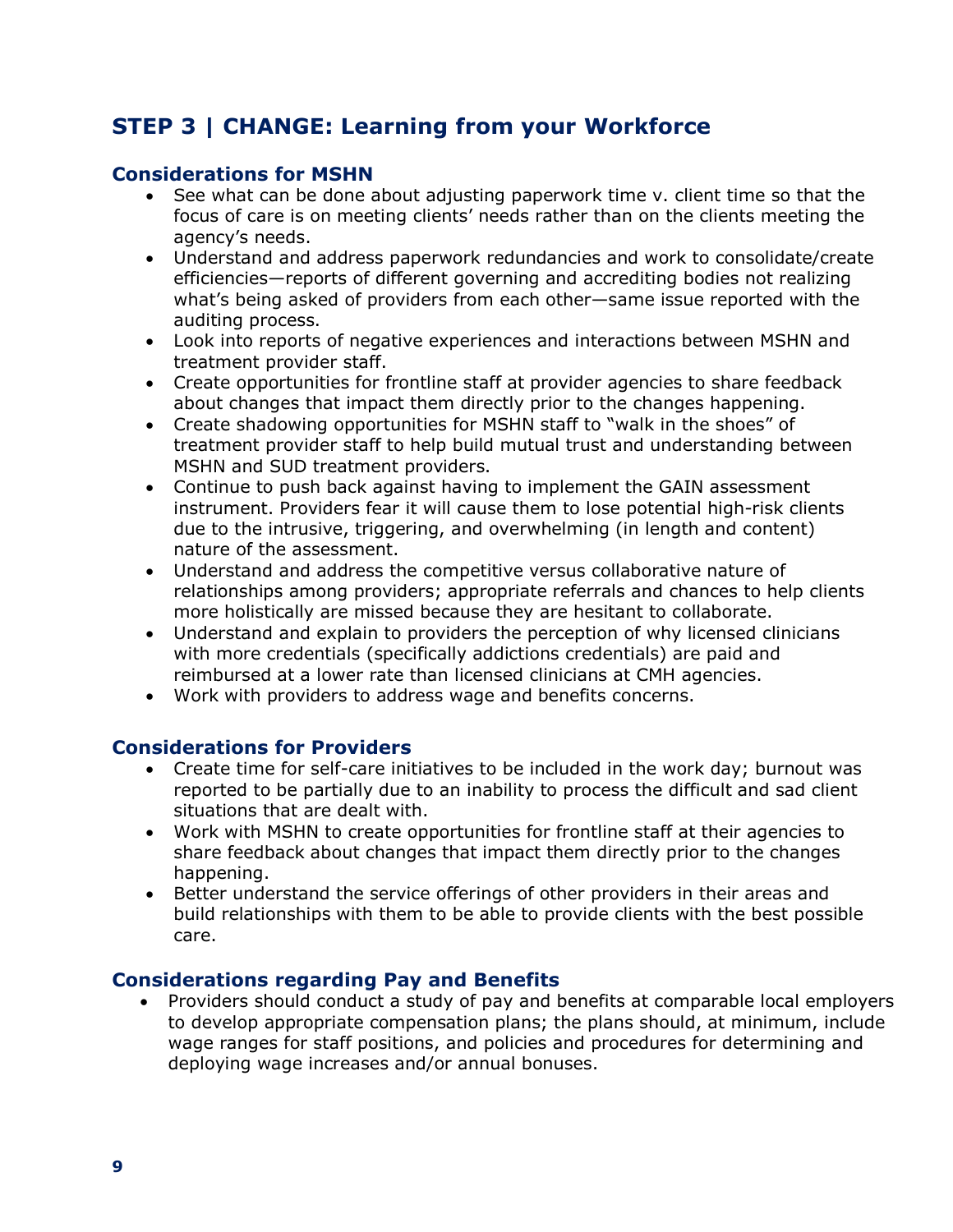## **STEP 3 | CHANGE: Learning from your Workforce**

#### **Considerations for MSHN**

- See what can be done about adjusting paperwork time v. client time so that the focus of care is on meeting clients' needs rather than on the clients meeting the agency's needs.
- Understand and address paperwork redundancies and work to consolidate/create efficiencies—reports of different governing and accrediting bodies not realizing what's being asked of providers from each other—same issue reported with the auditing process.
- Look into reports of negative experiences and interactions between MSHN and treatment provider staff.
- Create opportunities for frontline staff at provider agencies to share feedback about changes that impact them directly prior to the changes happening.
- Create shadowing opportunities for MSHN staff to "walk in the shoes" of treatment provider staff to help build mutual trust and understanding between MSHN and SUD treatment providers.
- Continue to push back against having to implement the GAIN assessment instrument. Providers fear it will cause them to lose potential high-risk clients due to the intrusive, triggering, and overwhelming (in length and content) nature of the assessment.
- Understand and address the competitive versus collaborative nature of relationships among providers; appropriate referrals and chances to help clients more holistically are missed because they are hesitant to collaborate.
- Understand and explain to providers the perception of why licensed clinicians with more credentials (specifically addictions credentials) are paid and reimbursed at a lower rate than licensed clinicians at CMH agencies.
- Work with providers to address wage and benefits concerns.

#### **Considerations for Providers**

- Create time for self-care initiatives to be included in the work day; burnout was reported to be partially due to an inability to process the difficult and sad client situations that are dealt with.
- Work with MSHN to create opportunities for frontline staff at their agencies to share feedback about changes that impact them directly prior to the changes happening.
- Better understand the service offerings of other providers in their areas and build relationships with them to be able to provide clients with the best possible care.

#### **Considerations regarding Pay and Benefits**

• Providers should conduct a study of pay and benefits at comparable local employers to develop appropriate compensation plans; the plans should, at minimum, include wage ranges for staff positions, and policies and procedures for determining and deploying wage increases and/or annual bonuses.